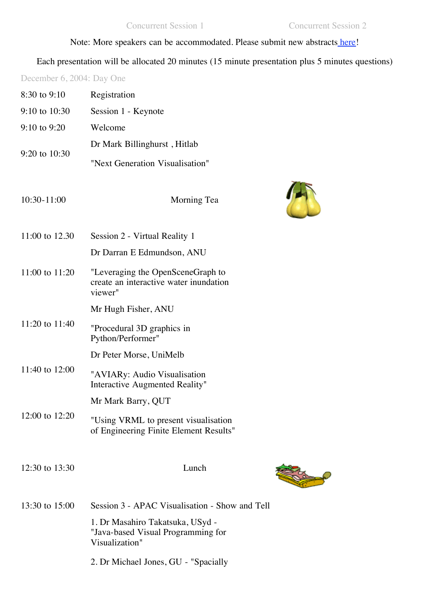## Note: More speakers can be accommodated. Please submit new abstracts [here](http://www.its.qut.edu.au/hpc/OzVis2004/Abstract.htm)!

Each presentation will be allocated 20 minutes (15 minute presentation plus 5 minutes questions)

December 6, 2004: Day One

| 8:30 to 9:10      | Registration                                                                             |
|-------------------|------------------------------------------------------------------------------------------|
| $9:10$ to $10:30$ | Session 1 - Keynote                                                                      |
| $9:10$ to $9:20$  | Welcome                                                                                  |
| 9:20 to 10:30     | Dr Mark Billinghurst, Hitlab                                                             |
|                   | "Next Generation Visualisation"                                                          |
| 10:30-11:00       | Morning Tea                                                                              |
| 11:00 to 12.30    | Session 2 - Virtual Reality 1                                                            |
|                   | Dr Darran E Edmundson, ANU                                                               |
| 11:00 to 11:20    | "Leveraging the OpenSceneGraph to<br>create an interactive water inundation<br>viewer"   |
|                   | Mr Hugh Fisher, ANU                                                                      |
| 11:20 to 11:40    | "Procedural 3D graphics in<br>Python/Performer"                                          |
|                   | Dr Peter Morse, UniMelb                                                                  |
| 11:40 to 12:00    | "AVIARy: Audio Visualisation<br>Interactive Augmented Reality"                           |
|                   | Mr Mark Barry, QUT                                                                       |
| 12:00 to 12:20    | "Using VRML to present visualisation<br>of Engineering Finite Element Results"           |
| 12:30 to 13:30    | Lunch                                                                                    |
| 13:30 to 15:00    | Session 3 - APAC Visualisation - Show and Tell                                           |
|                   | 1. Dr Masahiro Takatsuka, USyd -<br>"Java-based Visual Programming for<br>Visualization" |
|                   | 2. Dr Michael Jones, GU - "Spacially                                                     |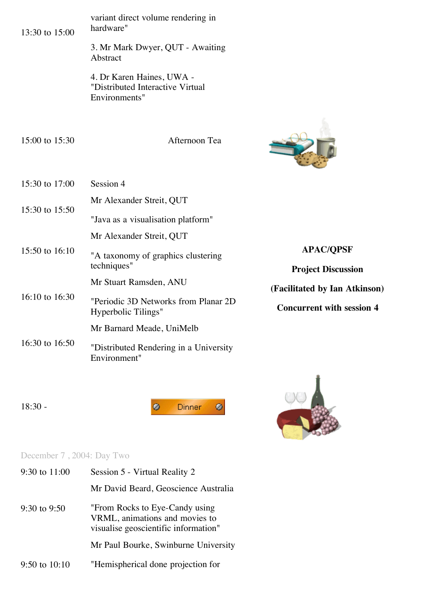| 13:30 to 15:00 | variant direct volume rendering in<br>hardware"                                |                                               |  |
|----------------|--------------------------------------------------------------------------------|-----------------------------------------------|--|
|                | 3. Mr Mark Dwyer, QUT - Awaiting<br>Abstract                                   |                                               |  |
|                | 4. Dr Karen Haines, UWA -<br>"Distributed Interactive Virtual<br>Environments" |                                               |  |
| 15:00 to 15:30 | Afternoon Tea                                                                  |                                               |  |
| 15:30 to 17:00 | Session 4                                                                      |                                               |  |
| 15:30 to 15:50 | Mr Alexander Streit, QUT<br>"Java as a visualisation platform"                 |                                               |  |
| 15:50 to 16:10 | Mr Alexander Streit, QUT<br>"A taxonomy of graphics clustering<br>techniques"  | <b>APAC/QPSF</b><br><b>Project Discussion</b> |  |
|                | Mr Stuart Ramsden, ANU                                                         | (Facilitated by Ian Atkinson)                 |  |
| 16:10 to 16:30 | "Periodic 3D Networks from Planar 2D<br>Hyperbolic Tilings"                    | <b>Concurrent with session 4</b>              |  |
|                | Mr Barnard Meade, UniMelb                                                      |                                               |  |
| 16:30 to 16:50 | "Distributed Rendering in a University<br>Environment"                         |                                               |  |

18:30 -

 $\bullet$ Dinner  $\pmb{\circ}$ 



## December 7, 2004: Day Two

| 9:30 to $11:00$  | Session 5 - Virtual Reality 2                                                                             |
|------------------|-----------------------------------------------------------------------------------------------------------|
|                  | Mr David Beard, Geoscience Australia                                                                      |
| $9:30$ to $9:50$ | "From Rocks to Eye-Candy using"<br>VRML, animations and movies to<br>visualise geoscientific information" |
|                  | Mr Paul Bourke, Swinburne University                                                                      |
| 9:50 to $10:10$  | "Hemispherical done projection for                                                                        |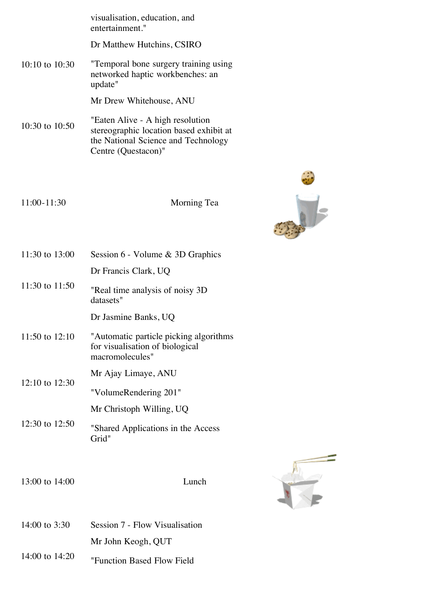|                    |                | visualisation, education, and<br>entertainment."                                                                                          |  |
|--------------------|----------------|-------------------------------------------------------------------------------------------------------------------------------------------|--|
|                    |                | Dr Matthew Hutchins, CSIRO                                                                                                                |  |
|                    | 10:10 to 10:30 | "Temporal bone surgery training using<br>networked haptic workbenches: an<br>update"                                                      |  |
|                    |                | Mr Drew Whitehouse, ANU                                                                                                                   |  |
|                    | 10:30 to 10:50 | "Eaten Alive - A high resolution<br>stereographic location based exhibit at<br>the National Science and Technology<br>Centre (Questacon)" |  |
|                    |                |                                                                                                                                           |  |
|                    | 11:00-11:30    | Morning Tea                                                                                                                               |  |
|                    | 11:30 to 13:00 | Session 6 - Volume & 3D Graphics                                                                                                          |  |
|                    |                | Dr Francis Clark, UQ                                                                                                                      |  |
|                    | 11:30 to 11:50 | "Real time analysis of noisy 3D<br>datasets"                                                                                              |  |
|                    |                | Dr Jasmine Banks, UQ                                                                                                                      |  |
|                    | 11:50 to 12:10 | "Automatic particle picking algorithms<br>for visualisation of biological<br>macromolecules"                                              |  |
|                    |                | Mr Ajay Limaye, ANU                                                                                                                       |  |
| $12:10$ to $12:30$ |                | "VolumeRendering 201"                                                                                                                     |  |
|                    |                | Mr Christoph Willing, UQ                                                                                                                  |  |
|                    | 12:30 to 12:50 | "Shared Applications in the Access<br>Grid"                                                                                               |  |
|                    |                |                                                                                                                                           |  |
|                    | 13:00 to 14:00 | Lunch                                                                                                                                     |  |
|                    | 14:00 to 3:30  | Session 7 - Flow Visualisation                                                                                                            |  |
|                    |                | Mr John Keogh, QUT                                                                                                                        |  |
|                    | 14:00 to 14:20 | "Eunstian Regad Flow Eight                                                                                                                |  |

"Function Based Flow Field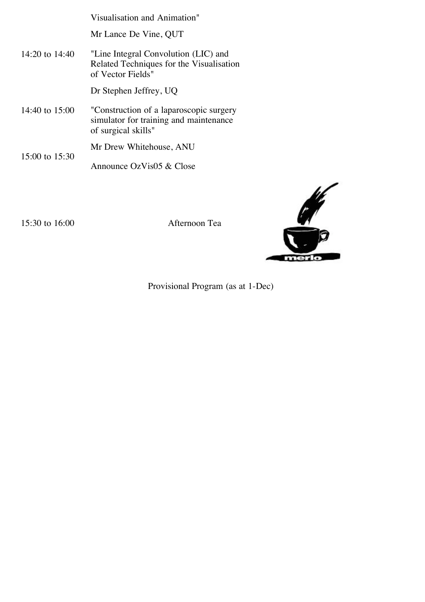|                    | Visualisation and Animation"                                                                             |
|--------------------|----------------------------------------------------------------------------------------------------------|
|                    | Mr Lance De Vine, QUT                                                                                    |
| $14:20$ to $14:40$ | "Line Integral Convolution (LIC) and<br>Related Techniques for the Visualisation<br>of Vector Fields"    |
|                    | Dr Stephen Jeffrey, UQ                                                                                   |
| 14:40 to $15:00$   | "Construction of a laparoscopic surgery<br>simulator for training and maintenance<br>of surgical skills" |
| 15:00 to $15:30$   | Mr Drew Whitehouse, ANU                                                                                  |
|                    | Announce OzVis05 & Close                                                                                 |

15:30 to 16:00 Afternoon Tea



Provisional Program (as at 1-Dec)